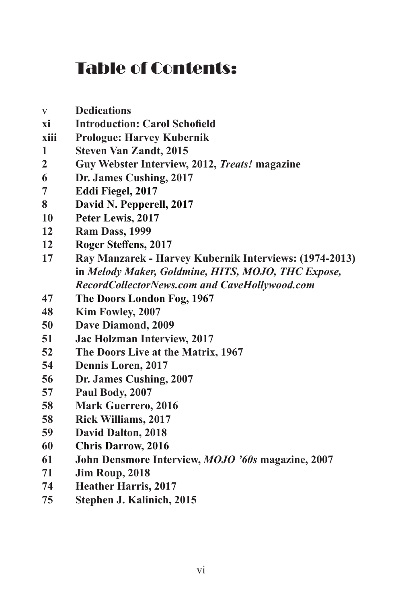## Table of Contents:

- v **Dedications xi Introduction: Carol Schofield xiii Prologue: Harvey Kubernik Steven Van Zandt, 2015 Guy Webster Interview, 2012,** *Treats!* **magazine Dr. James Cushing, 2017 Eddi Fiegel, 2017 David N. Pepperell, 2017 Peter Lewis, 2017 Ram Dass, 1999 Roger Steffens, 2017 Ray Manzarek - Harvey Kubernik Interviews: (1974-2013) in** *Melody Maker, Goldmine, HITS, MOJO, THC Expose, RecordCollectorNews.com and CaveHollywood.com*  **The Doors London Fog, 1967 Kim Fowley, 2007 Dave Diamond, 2009 Jac Holzman Interview, 2017 The Doors Live at the Matrix, 1967 Dennis Loren, 2017 Dr. James Cushing, 2007 Paul Body, 2007 Mark Guerrero, 2016 Rick Williams, 2017 David Dalton, 2018 Chris Darrow, 2016 John Densmore Interview,** *MOJO '60s* **magazine, 2007 Jim Roup, 2018 Heather Harris, 2017**
- **Stephen J. Kalinich, 2015**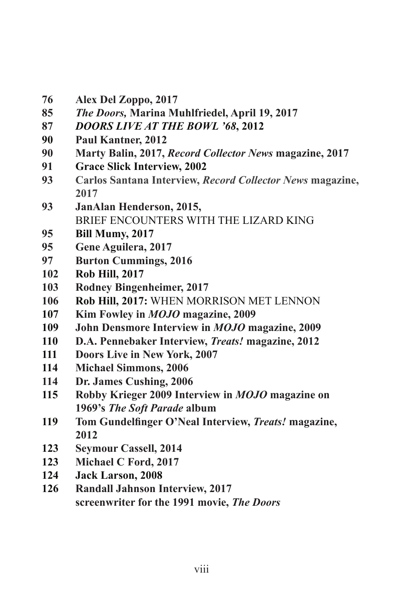- **Alex Del Zoppo, 2017**
- *The Doors,* **Marina Muhlfriedel, April 19, 2017**
- *DOORS LIVE AT THE BOWL '68***, 2012**
- **Paul Kantner, 2012**
- **Marty Balin, 2017,** *Record Collector News* **magazine, 2017**
- **Grace Slick Interview, 2002**
- **Carlos Santana Interview,** *Record Collector News* **magazine,**
- **JanAlan Henderson, 2015,**  BRIEF ENCOUNTERS WITH THE LIZARD KING
- **Bill Mumy, 2017**
- **Gene Aguilera, 2017**
- **Burton Cummings, 2016**
- **Rob Hill, 2017**
- **Rodney Bingenheimer, 2017**
- **Rob Hill, 2017:** WHEN MORRISON MET LENNON
- **Kim Fowley in** *MOJO* **magazine, 2009**
- **John Densmore Interview in** *MOJO* **magazine, 2009**
- **D.A. Pennebaker Interview,** *Treats!* **magazine, 2012**
- **Doors Live in New York, 2007**
- **Michael Simmons, 2006**
- **Dr. James Cushing, 2006**
- **Robby Krieger 2009 Interview in** *MOJO* **magazine on 1969's** *The Soft Parade* **album**
- **Tom Gundelfinger O'Neal Interview,** *Treats!* **magazine,**
- **Seymour Cassell, 2014**
- **Michael C Ford, 2017**
- **Jack Larson, 2008**
- **Randall Jahnson Interview, 2017 screenwriter for the 1991 movie,** *The Doors*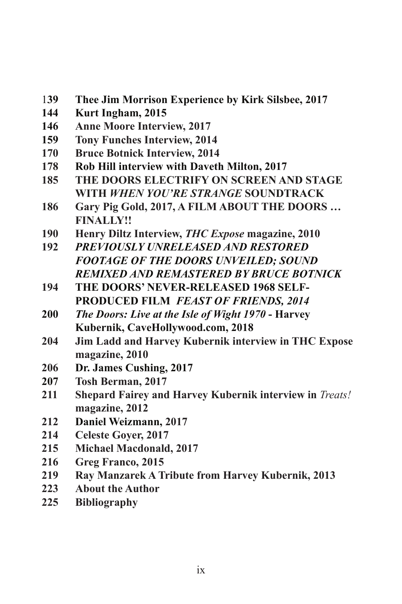- **39 Thee Jim Morrison Experience by Kirk Silsbee, 2017**
- **Kurt Ingham, 2015**
- **Anne Moore Interview, 2017**
- **Tony Funches Interview, 2014**
- **Bruce Botnick Interview, 2014**
- **Rob Hill interview with Daveth Milton, 2017**
- **THE DOORS ELECTRIFY ON SCREEN AND STAGE WITH** *WHEN YOU'RE STRANGE* **SOUNDTRACK**
- **186 Gary Pig Gold, 2017, A FILM ABOUT THE DOORS … FINALLY!!**
- **Henry Diltz Interview,** *THC Expose* **magazine, 2010**
- *PREVIOUSLY UNRELEASED AND RESTORED FOOTAGE OF THE DOORS UNVEILED; SOUND REMIXED AND REMASTERED BY BRUCE BOTNICK*
- 194 THE DOORS' NEVER-RELEASED 1968 SELF- **PRODUCED FILM** *FEAST OF FRIENDS, 2014*
- *The Doors: Live at the Isle of Wight 1970* **Harvey Kubernik, CaveHollywood.com, 2018**
- **Jim Ladd and Harvey Kubernik interview in THC Expose magazine, 2010**
- **Dr. James Cushing, 2017**
- **Tosh Berman, 2017**
- **Shepard Fairey and Harvey Kubernik interview in** *Treats!*  **magazine, 2012**
- **Daniel Weizmann, 2017**
- **Celeste Goyer, 2017**
- **Michael Macdonald, 2017**
- **Greg Franco, 2015**
- **Ray Manzarek A Tribute from Harvey Kubernik, 2013**
- **About the Author**
- **Bibliography**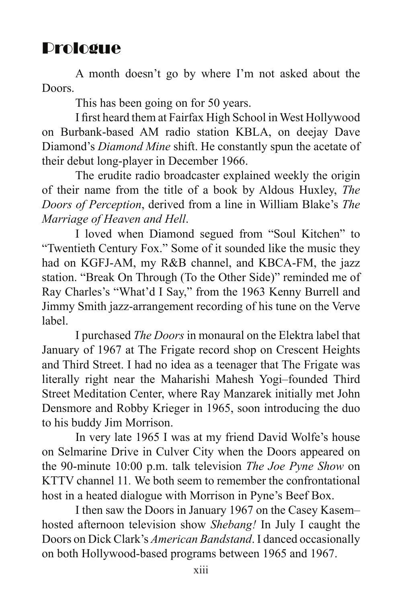## Prologue

A month doesn't go by where I'm not asked about the Doors.

This has been going on for 50 years.

 I first heard them at Fairfax High School in West Hollywood on Burbank-based AM radio station KBLA, on deejay Dave Diamond's *Diamond Mine* shift. He constantly spun the acetate of their debut long-player in December 1966.

 The erudite radio broadcaster explained weekly the origin of their name from the title of a book by Aldous Huxley, *The Doors of Perception*, derived from a line in William Blake's *The Marriage of Heaven and Hell*.

 I loved when Diamond segued from "Soul Kitchen" to "Twentieth Century Fox." Some of it sounded like the music they had on KGFJ-AM, my R&B channel, and KBCA-FM, the jazz station. "Break On Through (To the Other Side)" reminded me of Ray Charles's "What'd I Say," from the 1963 Kenny Burrell and Jimmy Smith jazz-arrangement recording of his tune on the Verve label.

 I purchased *The Doors* in monaural on the Elektra label that January of 1967 at The Frigate record shop on Crescent Heights and Third Street. I had no idea as a teenager that The Frigate was literally right near the Maharishi Mahesh Yogi–founded Third Street Meditation Center, where Ray Manzarek initially met John Densmore and Robby Krieger in 1965, soon introducing the duo to his buddy Jim Morrison.

In very late 1965 I was at my friend David Wolfe's house on Selmarine Drive in Culver City when the Doors appeared on the 90-minute 10:00 p.m. talk television *The Joe Pyne Show* on KTTV channel 11*.* We both seem to remember the confrontational host in a heated dialogue with Morrison in Pyne's Beef Box.

 I then saw the Doors in January 1967 on the Casey Kasem– hosted afternoon television show *Shebang!* In July I caught the Doors on Dick Clark's *American Bandstand*. I danced occasionally on both Hollywood-based programs between 1965 and 1967.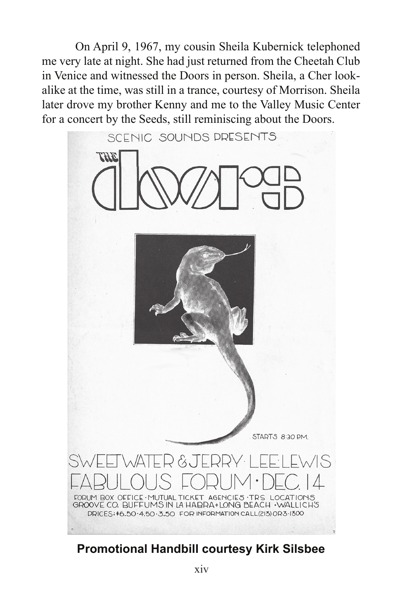On April 9, 1967, my cousin Sheila Kubernick telephoned me very late at night. She had just returned from the Cheetah Club in Venice and witnessed the Doors in person. Sheila, a Cher lookalike at the time, was still in a trance, courtesy of Morrison. Sheila later drove my brother Kenny and me to the Valley Music Center for a concert by the Seeds, still reminiscing about the Doors.



## **Promotional Handbill courtesy Kirk Silsbee**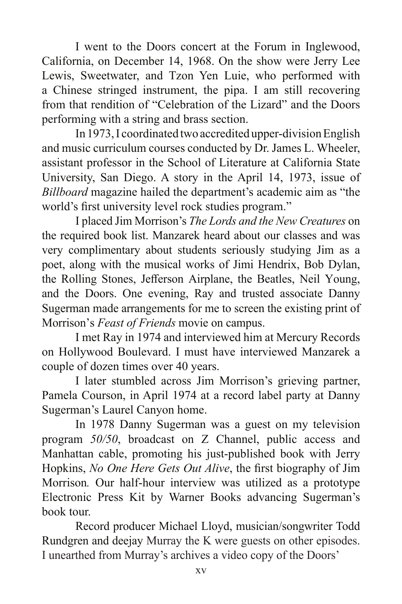I went to the Doors concert at the Forum in Inglewood, California, on December 14, 1968. On the show were Jerry Lee Lewis, Sweetwater, and Tzon Yen Luie, who performed with a Chinese stringed instrument, the pipa. I am still recovering from that rendition of "Celebration of the Lizard" and the Doors performing with a string and brass section.

 In 1973,I coordinated two accredited upper-divisionEnglish and music curriculum courses conducted by Dr. James L. Wheeler, assistant professor in the School of Literature at California State University, San Diego. A story in the April 14, 1973, issue of *Billboard* magazine hailed the department's academic aim as "the world's first university level rock studies program."

I placed Jim Morrison's *The Lords and the New Creatures* on the required book list. Manzarek heard about our classes and was very complimentary about students seriously studying Jim as a poet, along with the musical works of Jimi Hendrix, Bob Dylan, the Rolling Stones, Jefferson Airplane, the Beatles, Neil Young, and the Doors. One evening, Ray and trusted associate Danny Sugerman made arrangements for me to screen the existing print of Morrison's *Feast of Friends* movie on campus.

 I met Ray in 1974 and interviewed him at Mercury Records on Hollywood Boulevard. I must have interviewed Manzarek a couple of dozen times over 40 years.

 I later stumbled across Jim Morrison's grieving partner, Pamela Courson, in April 1974 at a record label party at Danny Sugerman's Laurel Canyon home.

 In 1978 Danny Sugerman was a guest on my television program *50/50*, broadcast on Z Channel, public access and Manhattan cable, promoting his just-published book with Jerry Hopkins, *No One Here Gets Out Alive*, the first biography of Jim Morrison*.* Our half-hour interview was utilized as a prototype Electronic Press Kit by Warner Books advancing Sugerman's book tour.

Record producer Michael Lloyd, musician/songwriter Todd Rundgren and deejay Murray the K were guests on other episodes. I unearthed from Murray's archives a video copy of the Doors'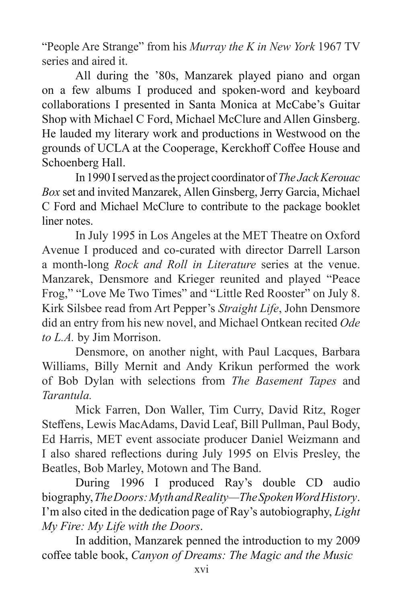"People Are Strange" from his *Murray the K in New York* 1967 TV series and aired it.

 All during the '80s, Manzarek played piano and organ on a few albums I produced and spoken-word and keyboard collaborations I presented in Santa Monica at McCabe's Guitar Shop with Michael C Ford, Michael McClure and Allen Ginsberg. He lauded my literary work and productions in Westwood on the grounds of UCLA at the Cooperage, Kerckhoff Coffee House and Schoenberg Hall.

 In 1990 Iserved asthe project coordinator of *The Jack Kerouac Box* set and invited Manzarek, Allen Ginsberg, Jerry Garcia, Michael C Ford and Michael McClure to contribute to the package booklet liner notes.

 In July 1995 in Los Angeles at the MET Theatre on Oxford Avenue I produced and co-curated with director Darrell Larson a month-long *Rock and Roll in Literature* series at the venue. Manzarek, Densmore and Krieger reunited and played "Peace Frog," "Love Me Two Times" and "Little Red Rooster" on July 8. Kirk Silsbee read from Art Pepper's *Straight Life*, John Densmore did an entry from his new novel, and Michael Ontkean recited *Ode to L.A.* by Jim Morrison.

 Densmore, on another night, with Paul Lacques, Barbara Williams, Billy Mernit and Andy Krikun performed the work of Bob Dylan with selections from *The Basement Tapes* and *Tarantula.*

 Mick Farren, Don Waller, Tim Curry, David Ritz, Roger Steffens, Lewis MacAdams, David Leaf, Bill Pullman, Paul Body, Ed Harris, MET event associate producer Daniel Weizmann and I also shared reflections during July 1995 on Elvis Presley, the Beatles, Bob Marley, Motown and The Band.

 During 1996 I produced Ray's double CD audio biography,*The Doors: Myth and Reality—The Spoken Word History*. I'm also cited in the dedication page of Ray's autobiography, *Light My Fire: My Life with the Doors*.

In addition, Manzarek penned the introduction to my 2009 coffee table book, *Canyon of Dreams: The Magic and the Music*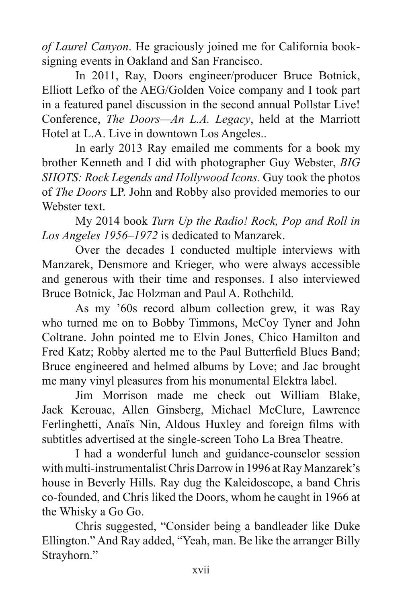*of Laurel Canyon*. He graciously joined me for California booksigning events in Oakland and San Francisco.

 In 2011, Ray, Doors engineer/producer Bruce Botnick, Elliott Lefko of the AEG/Golden Voice company and I took part in a featured panel discussion in the second annual Pollstar Live! Conference, *The Doors—An L.A. Legacy*, held at the Marriott Hotel at L.A. Live in downtown Los Angeles..

 In early 2013 Ray emailed me comments for a book my brother Kenneth and I did with photographer Guy Webster, *BIG SHOTS: Rock Legends and Hollywood Icons.* Guy took the photos of *The Doors* LP. John and Robby also provided memories to our Webster text.

 My 2014 book *Turn Up the Radio! Rock, Pop and Roll in Los Angeles 1956–1972* is dedicated to Manzarek.

 Over the decades I conducted multiple interviews with Manzarek, Densmore and Krieger, who were always accessible and generous with their time and responses. I also interviewed Bruce Botnick, Jac Holzman and Paul A. Rothchild.

 As my '60s record album collection grew, it was Ray who turned me on to Bobby Timmons, McCoy Tyner and John Coltrane. John pointed me to Elvin Jones, Chico Hamilton and Fred Katz; Robby alerted me to the Paul Butterfield Blues Band; Bruce engineered and helmed albums by Love; and Jac brought me many vinyl pleasures from his monumental Elektra label.

 Jim Morrison made me check out William Blake, Jack Kerouac, Allen Ginsberg, Michael McClure, Lawrence Ferlinghetti, Anaïs Nin, Aldous Huxley and foreign films with subtitles advertised at the single-screen Toho La Brea Theatre.

 I had a wonderful lunch and guidance-counselor session with multi-instrumentalist Chris Darrow in 1996 at Ray Manzarek's house in Beverly Hills. Ray dug the Kaleidoscope, a band Chris co-founded, and Chris liked the Doors, whom he caught in 1966 at the Whisky a Go Go.

 Chris suggested, "Consider being a bandleader like Duke Ellington." And Ray added, "Yeah, man. Be like the arranger Billy Strayhorn."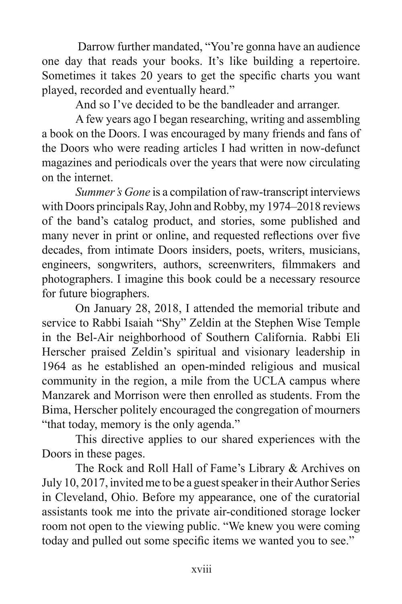Darrow further mandated, "You're gonna have an audience one day that reads your books. It's like building a repertoire. Sometimes it takes 20 years to get the specific charts you want played, recorded and eventually heard."

 And so I've decided to be the bandleader and arranger.

 A few years ago I began researching, writing and assembling a book on the Doors. I was encouraged by many friends and fans of the Doors who were reading articles I had written in now-defunct magazines and periodicals over the years that were now circulating on the internet.

*Summer's Gone* is a compilation of raw-transcript interviews with Doors principals Ray, John and Robby, my 1974–2018 reviews of the band's catalog product, and stories, some published and many never in print or online, and requested reflections over five decades, from intimate Doors insiders, poets, writers, musicians, engineers, songwriters, authors, screenwriters, filmmakers and photographers. I imagine this book could be a necessary resource for future biographers.

 On January 28, 2018, I attended the memorial tribute and service to Rabbi Isaiah "Shy" Zeldin at the Stephen Wise Temple in the Bel-Air neighborhood of Southern California. Rabbi Eli Herscher praised Zeldin's spiritual and visionary leadership in 1964 as he established an open-minded religious and musical community in the region, a mile from the UCLA campus where Manzarek and Morrison were then enrolled as students. From the Bima, Herscher politely encouraged the congregation of mourners "that today, memory is the only agenda."

 This directive applies to our shared experiences with the Doors in these pages.

 The Rock and Roll Hall of Fame's Library & Archives on July 10, 2017, invited me to be a guest speaker in their Author Series in Cleveland, Ohio. Before my appearance, one of the curatorial assistants took me into the private air-conditioned storage locker room not open to the viewing public. "We knew you were coming today and pulled out some specific items we wanted you to see."